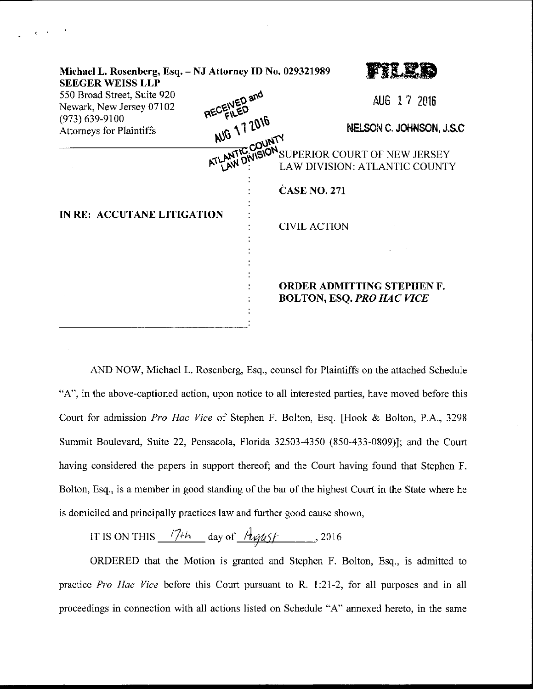| Michael L. Rosenberg, Esq. - NJ Attorney ID No. 029321989<br><b>SEEGER WEISS LLP</b> |              |                                                                                                    |
|--------------------------------------------------------------------------------------|--------------|----------------------------------------------------------------------------------------------------|
| 550 Broad Street, Suite 920<br>Newark, New Jersey 07102                              | RECEIVED and | AUG 17 2016                                                                                        |
| $(973) 639 - 9100$<br><b>Attorneys for Plaintiffs</b>                                | AUG 17 2016  | NELSON C. JOHNSON, J.S.C                                                                           |
|                                                                                      |              | AUU COUNTY<br>ATLANTIC COUNTY SUPERIOR COURT OF NEW JERSEY<br><b>LAW DIVISION: ATLANTIC COUNTY</b> |
| IN RE: ACCUTANE LITIGATION                                                           |              | <b>CASE NO. 271</b>                                                                                |
|                                                                                      |              | <b>CIVIL ACTION</b>                                                                                |
|                                                                                      |              | <b>ORDER ADMITTING STEPHEN F.</b><br><b>BOLTON, ESQ. PRO HAC VICE</b>                              |

AND NOW, Michael L. Rosenberg, Esq., counsel for Plaintiffs on the attached Schedule "A", in the above-captioned action, upon notice to all interested parties, have moved before this Court for admission Pro Hac Vice of Stephen F. Bolton, Esq. [Hook & Bolton, P.A., 3298 Summit Boulevard, Suite 22, Pensacola, Florida 32503-4350 (850-433-0809)]; and the Court having considered the papers in support thereof; and the Court having found that Stephen F. Bolton, Esq., is a member in good standing of the bar of the highest Court in the State where he is domiciled and principally practices law and further good cause shown,

IT IS ON THIS  $\frac{i7+h}{h}$  day of  $\frac{H_{\text{VUSY}}}{h}$ , 2016

ORDERED that the Motion is granted and Stephen F. Bolton, Esq., is admitted to practice Pro Hac Vice before this Court pursuant to R. 1:21-2, for all purposes and in all proceedings in connection with all actions listed on Schedule "A" annexed hereto, in the same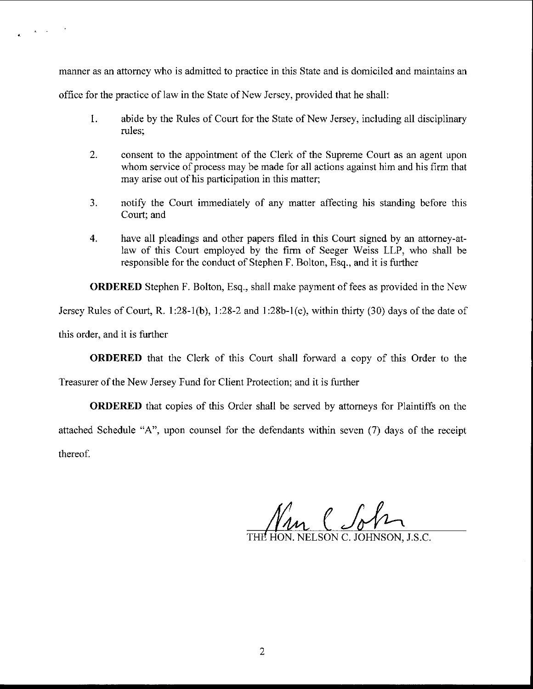manner as an attorney who is admitted to practice in this State and is domiciled and maintains an

office for the practice of law in the State of New Jersey, provided that he shall:

- 1. abide by the Rules of Court for the State of New Jersey, including all disciplinary rules;
- 2. consent to the appointment of the Clerk of the Supreme Court as an agent upon whom service of process may be made for all actions against him and his firm that may arise out of his participation in this matter;
- 3. notify the Court immediately of any matter affecting his standing before this Court; and
- 4. have all pleadings and other papers filed in this Court signed by an attorney-atlaw of this Court employed by the firm of Seeger Weiss LLP, who shall be responsible for the conduct of Stephen F. Bolton, Esq., and it is further

ORDERED Stephen F. Bolton, Esq., shall make payment of fees as provided in the New

Jersey Rules of Court, R. 1:28-1(b), 1:28-2 and 1:28b-1(e), within thirty (30) days of the date of

this order, and it is further

 $\mathbf{g} = \mathbf{g} \times \mathbf{g}$ 

ORDERED that the Clerk of this Court shall forward a copy of this Order to the

Treasurer of the New Jersey Fund for Client Protection; and it is further

ORDERED that copies of this Order shall be served by attomeys for Plaintiffs on the attached Schedule "A", upon counsel for the defendants within seven (7) days of the receipt thereof.

HON. NELSON C. JOHNSON. J.S.C.